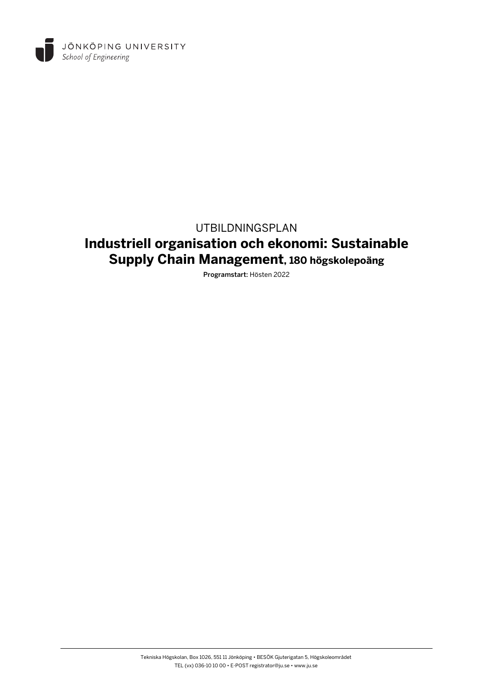

# UTBILDNINGSPLAN **Industriell organisation och ekonomi: Sustainable Supply Chain Management, 180 högskolepoäng**

Programstart: Hösten 2022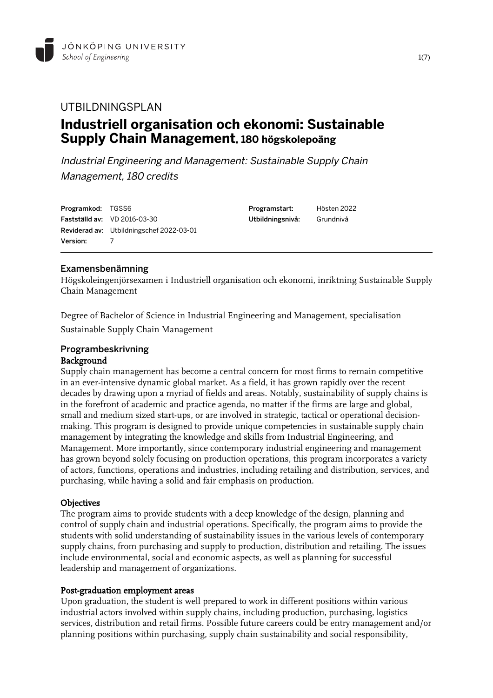

# UTBILDNINGSPLAN **Industriell organisation och ekonomi: Sustainable Supply Chain Management, 180 högskolepoäng**

Industrial Engineering and Management: Sustainable Supply Chain Management, 180 credits

Programkod: TGSS6 Fastställd av: VD 2016-03-30 Reviderad av: Utbildningschef 2022-03-01 Version: 7

Programstart: Hösten 2022 Utbildningsnivå: Grundnivå

### Examensbenämning

Högskoleingenjörsexamen i Industriell organisation och ekonomi, inriktning Sustainable Supply Chain Management

Degree of Bachelor of Science in Industrial Engineering and Management, specialisation Sustainable Supply Chain Management

### Programbeskrivning

#### Background

Supply chain management has become a central concern for most firms to remain competitive in an ever-intensive dynamic global market. As a field, it has grown rapidly over the recent decades by drawing upon a myriad of fields and areas. Notably, sustainability of supply chains is in the forefront of academic and practice agenda, no matter if the firms are large and global, small and medium sized start-ups, or are involved in strategic, tactical or operational decisionmaking. This program is designed to provide unique competencies in sustainable supply chain management by integrating the knowledge and skills from Industrial Engineering, and Management. More importantly, since contemporary industrial engineering and management has grown beyond solely focusing on production operations, this program incorporates a variety of actors, functions, operations and industries, including retailing and distribution, services, and purchasing, while having a solid and fair emphasis on production.

#### **Objectives**

The program aims to provide students with a deep knowledge of the design, planning and control of supply chain and industrial operations. Specifically, the program aims to provide the students with solid understanding of sustainability issues in the various levels of contemporary supply chains, from purchasing and supply to production, distribution and retailing. The issues include environmental, social and economic aspects, as well as planning for successful leadership and management of organizations.

#### Post-graduation employment areas

Upon graduation, the student is well prepared to work in different positions within various industrial actors involved within supply chains, including production, purchasing, logistics services, distribution and retail firms. Possible future careers could be entry management and/or planning positions within purchasing, supply chain sustainability and social responsibility,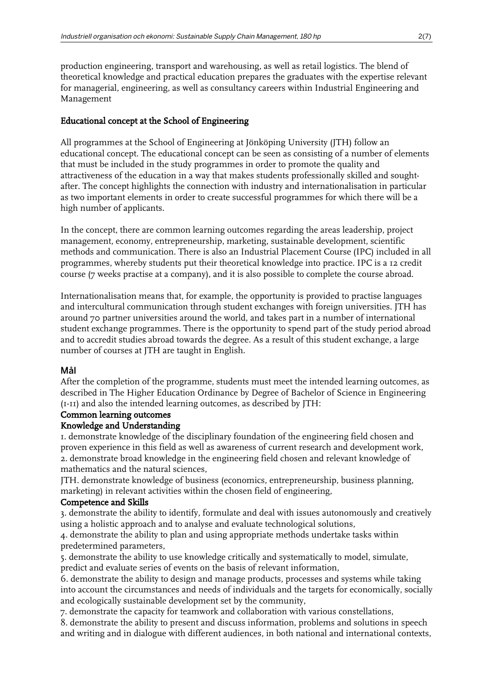production engineering, transport and warehousing, as well as retail logistics. The blend of theoretical knowledge and practical education prepares the graduates with the expertise relevant for managerial, engineering, as well as consultancy careers within Industrial Engineering and Management

### Educational concept at the School of Engineering

All programmes at the School of Engineering at Jönköping University (JTH) follow an educational concept. The educational concept can be seen as consisting of a number of elements that must be included in the study programmes in order to promote the quality and attractiveness of the education in a way that makes students professionally skilled and soughtafter. The concept highlights the connection with industry and internationalisation in particular as two important elements in order to create successful programmes for which there will be a high number of applicants.

In the concept, there are common learning outcomes regarding the areas leadership, project management, economy, entrepreneurship, marketing, sustainable development, scientific methods and communication. There is also an Industrial Placement Course (IPC) included in all programmes, whereby students put their theoretical knowledge into practice. IPC is a 12 credit course (7 weeks practise at a company), and it is also possible to complete the course abroad.

Internationalisation means that, for example, the opportunity is provided to practise languages and intercultural communication through student exchanges with foreign universities. JTH has around 70 partner universities around the world, and takes part in a number of international student exchange programmes. There is the opportunity to spend part of the study period abroad and to accredit studies abroad towards the degree. As a result of this student exchange, a large number of courses at JTH are taught in English.

#### Mål

After the completion of the programme, students must meet the intended learning outcomes, as described in The Higher Education Ordinance by Degree of Bachelor of Science in Engineering (1-11) and also the intended learning outcomes, as described by JTH:

### Common learning outcomes

#### Knowledge and Understanding

1. demonstrate knowledge of the disciplinary foundation of the engineering field chosen and proven experience in this field as well as awareness of current research and development work, 2. demonstrate broad knowledge in the engineering field chosen and relevant knowledge of mathematics and the natural sciences,

JTH. demonstrate knowledge of business (economics, entrepreneurship, business planning, marketing) in relevant activities within the chosen field of engineering,

#### Competence and Skills

3. demonstrate the ability to identify, formulate and deal with issues autonomously and creatively using a holistic approach and to analyse and evaluate technological solutions,

4. demonstrate the ability to plan and using appropriate methods undertake tasks within predetermined parameters,

5. demonstrate the ability to use knowledge critically and systematically to model, simulate, predict and evaluate series of events on the basis of relevant information,

6. demonstrate the ability to design and manage products, processes and systems while taking into account the circumstances and needs of individuals and the targets for economically, socially and ecologically sustainable development set by the community,

7. demonstrate the capacity for teamwork and collaboration with various constellations,

8. demonstrate the ability to present and discuss information, problems and solutions in speech and writing and in dialogue with different audiences, in both national and international contexts,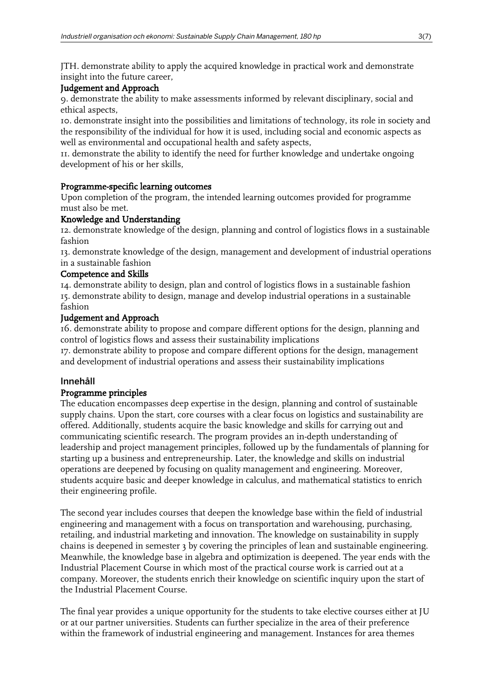JTH. demonstrate ability to apply the acquired knowledge in practical work and demonstrate insight into the future career,

## Judgement and Approach

9. demonstrate the ability to make assessments informed by relevant disciplinary, social and ethical aspects,

10. demonstrate insight into the possibilities and limitations of technology, its role in society and the responsibility of the individual for how it is used, including social and economic aspects as well as environmental and occupational health and safety aspects,

11. demonstrate the ability to identify the need for further knowledge and undertake ongoing development of his or her skills,

## Programme-specific learning outcomes

Upon completion of the program, the intended learning outcomes provided for programme must also be met.

## Knowledge and Understanding

12. demonstrate knowledge of the design, planning and control of logistics flows in a sustainable fashion

13. demonstrate knowledge of the design, management and development of industrial operations in a sustainable fashion

## Competence and Skills

14. demonstrate ability to design, plan and control of logistics flows in a sustainable fashion 15. demonstrate ability to design, manage and develop industrial operations in a sustainable fashion

## Judgement and Approach

16. demonstrate ability to propose and compare different options for the design, planning and control of logistics flows and assess their sustainability implications

17. demonstrate ability to propose and compare different options for the design, management and development of industrial operations and assess their sustainability implications

### Innehåll

### Programme principles

The education encompasses deep expertise in the design, planning and control of sustainable supply chains. Upon the start, core courses with a clear focus on logistics and sustainability are offered. Additionally, students acquire the basic knowledge and skills for carrying out and communicating scientific research. The program provides an in-depth understanding of leadership and project management principles, followed up by the fundamentals of planning for starting up a business and entrepreneurship. Later, the knowledge and skills on industrial operations are deepened by focusing on quality management and engineering. Moreover, students acquire basic and deeper knowledge in calculus, and mathematical statistics to enrich their engineering profile.

The second year includes courses that deepen the knowledge base within the field of industrial engineering and management with a focus on transportation and warehousing, purchasing, retailing, and industrial marketing and innovation. The knowledge on sustainability in supply chains is deepened in semester 3 by covering the principles of lean and sustainable engineering. Meanwhile, the knowledge base in algebra and optimization is deepened. The year ends with the Industrial Placement Course in which most of the practical course work is carried out at a company. Moreover, the students enrich their knowledge on scientific inquiry upon the start of the Industrial Placement Course.

The final year provides a unique opportunity for the students to take elective courses either at JU or at our partner universities. Students can further specialize in the area of their preference within the framework of industrial engineering and management. Instances for area themes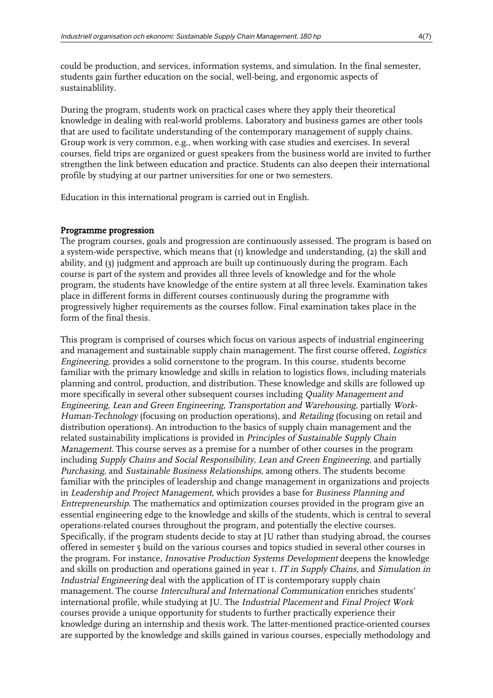could be production, and services, information systems, and simulation. In the final semester, students gain further education on the social, well-being, and ergonomic aspects of sustainablility.

During the program, students work on practical cases where they apply their theoretical knowledge in dealing with real-world problems. Laboratory and business games are other tools that are used to facilitate understanding of the contemporary management of supply chains. Group work is very common, e.g., when working with case studies and exercises. In several courses, field trips are organized or guest speakers from the business world are invited to further strengthen the link between education and practice. Students can also deepen their international profile by studying at our partner universities for one or two semesters.

Education in this international program is carried out in English.

#### Programme progression

The program courses, goals and progression are continuously assessed. The program is based on a system-wide perspective, which means that (1) knowledge and understanding, (2) the skill and ability, and (3) judgment and approach are built up continuously during the program. Each course is part of the system and provides all three levels of knowledge and for the whole program, the students have knowledge of the entire system at all three levels. Examination takes place in different forms in different courses continuously during the programme with progressively higher requirements as the courses follow. Final examination takes place in the form of the final thesis.

This program is comprised of courses which focus on various aspects of industrial engineering and management and sustainable supply chain management. The first course offered, Logistics Engineering, provides a solid cornerstone to the program. In this course, students become familiar with the primary knowledge and skills in relation to logistics flows, including materials planning and control, production, and distribution. These knowledge and skills are followed up more specifically in several other subsequent courses including Quality Management and Engineering, Lean and Green Engineering, Transportation and Warehousing, partially Work-Human-Technology (focusing on production operations), and Retailing (focusing on retail and distribution operations). An introduction to the basics of supply chain management and the related sustainability implications is provided in *Principles of Sustainable Supply Chain* Management. This course serves as a premise for a number of other courses in the program including Supply Chains and Social Responsibility, Lean and Green Engineering, and partially Purchasing, and Sustainable Business Relationships, among others. The students become familiar with the principles of leadership and change management in organizations and projects in Leadership and Project Management, which provides a base for Business Planning and Entrepreneurship. The mathematics and optimization courses provided in the program give an essential engineering edge to the knowledge and skills of the students, which is central to several operations-related courses throughout the program, and potentially the elective courses. Specifically, if the program students decide to stay at JU rather than studying abroad, the courses offered in semester 5 build on the various courses and topics studied in several other courses in the program. For instance, Innovative Production Systems Development deepens the knowledge and skills on production and operations gained in year I. IT in Supply Chains, and Simulation in Industrial Engineering deal with the application of IT is contemporary supply chain management. The course Intercultural and International Communication enriches students' international profile, while studying at JU. The Industrial Placement and Final Project Work courses provide a unique opportunity for students to further practically experience their knowledge during an internship and thesis work. The latter-mentioned practice-oriented courses are supported by the knowledge and skills gained in various courses, especially methodology and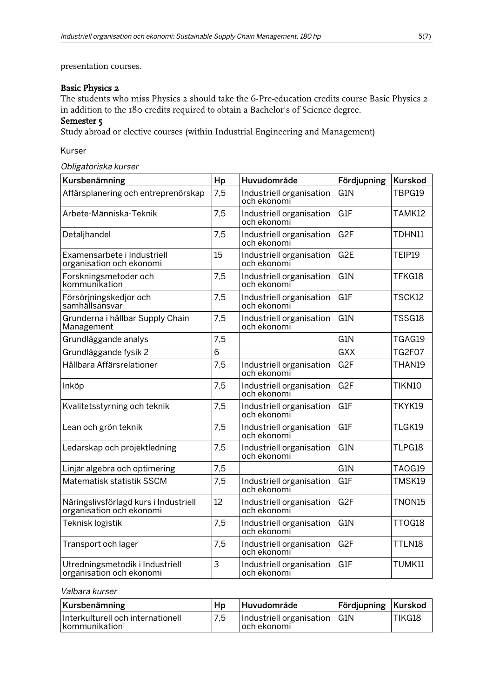#### presentation courses.

### Basic Physics 2

The students who miss Physics 2 should take the 6-Pre-education credits course Basic Physics 2 in addition to the 180 credits required to obtain a Bachelor's of Science degree.

### Semester 5

Study abroad or elective courses (within Industrial Engineering and Management)

#### Kurser

#### Obligatoriska kurser

| Kursbenämning                                                     | Hp  | Huvudområde                             | Fördjupning      | <b>Kurskod</b> |
|-------------------------------------------------------------------|-----|-----------------------------------------|------------------|----------------|
| Affärsplanering och entreprenörskap                               | 7,5 | Industriell organisation<br>och ekonomi | G1N              | TBPG19         |
| Arbete-Människa-Teknik                                            | 7,5 | Industriell organisation<br>och ekonomi | G1F              | TAMK12         |
| Detaljhandel                                                      | 7,5 | Industriell organisation<br>och ekonomi | G <sub>2F</sub>  | TDHN11         |
| Examensarbete i Industriell<br>organisation och ekonomi           | 15  | Industriell organisation<br>och ekonomi | G <sub>2</sub> E | TEIP19         |
| Forskningsmetoder och<br>kommunikation                            | 7,5 | Industriell organisation<br>och ekonomi | G <sub>1</sub> N | TFKG18         |
| Försörjningskedjor och<br>samhällsansvar                          | 7,5 | Industriell organisation<br>och ekonomi | G1F              | TSCK12         |
| Grunderna i hållbar Supply Chain<br>Management                    | 7,5 | Industriell organisation<br>och ekonomi | G1N              | TSSG18         |
| Grundläggande analys                                              | 7,5 |                                         | G1N              | TGAG19         |
| Grundläggande fysik 2                                             | 6   |                                         | <b>GXX</b>       | <b>TG2F07</b>  |
| Hållbara Affärsrelationer                                         | 7,5 | Industriell organisation<br>och ekonomi | G <sub>2F</sub>  | THAN19         |
| Inköp                                                             | 7,5 | Industriell organisation<br>och ekonomi | G <sub>2F</sub>  | TIKN10         |
| Kvalitetsstyrning och teknik                                      | 7,5 | Industriell organisation<br>och ekonomi | G <sub>1</sub> F | TKYK19         |
| Lean och grön teknik                                              | 7,5 | Industriell organisation<br>och ekonomi | G1F              | TLGK19         |
| Ledarskap och projektledning                                      | 7,5 | Industriell organisation<br>och ekonomi | G1N              | TLPG18         |
| Linjär algebra och optimering                                     | 7,5 |                                         | G1N              | TAOG19         |
| Matematisk statistik SSCM                                         | 7,5 | Industriell organisation<br>och ekonomi | G1F              | TMSK19         |
| Näringslivsförlagd kurs i Industriell<br>organisation och ekonomi | 12  | Industriell organisation<br>och ekonomi | G <sub>2F</sub>  | TNON15         |
| Teknisk logistik                                                  | 7,5 | Industriell organisation<br>och ekonomi | G1N              | TTOG18         |
| Transport och lager                                               | 7,5 | Industriell organisation<br>och ekonomi | G <sub>2F</sub>  | TTLN18         |
| Utredningsmetodik i Industriell<br>organisation och ekonomi       | 3   | Industriell organisation<br>och ekonomi | G1F              | TUMK11         |

#### Valbara kurser

| Kursbenämning                                                    | Hp  | Huvudområde                                  | <b>Fördjupning Kurskod</b> |        |
|------------------------------------------------------------------|-----|----------------------------------------------|----------------------------|--------|
| Interkulturell och internationell<br>∣kommunikation <sub>™</sub> | 7,5 | Industriell organisation G1N<br>Toch ekonomi |                            | TIKG18 |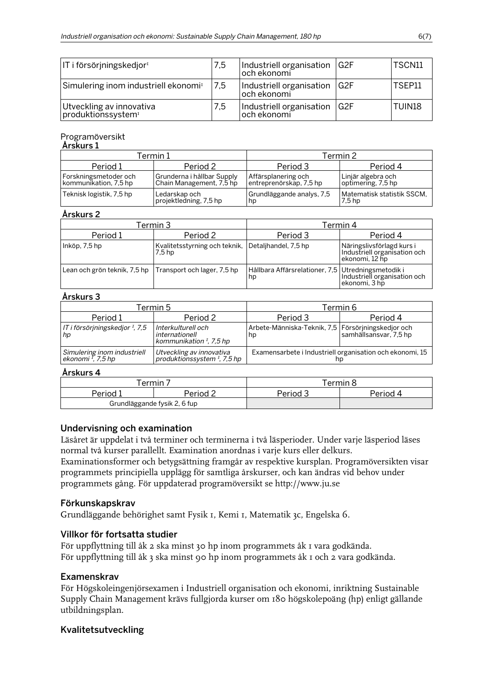| IT i försörjningskedjor <sup>1</sup>                           | 7,5 | Industriell organisation G2F<br>och ekonomi   | TSCN11 |
|----------------------------------------------------------------|-----|-----------------------------------------------|--------|
| Simulering inom industriell ekonomi <sup>1</sup>               | 7,5 | Industriell organisation   G2F<br>och ekonomi | TSEP11 |
| Utveckling av innovativa<br>$ $ produktionssystem <sup>1</sup> | 7,5 | Industriell organisation   G2F<br>och ekonomi | TUIN18 |

#### Programöversikt

#### Årskurs 1 Termin 1 Termin 2 Period 1 Period 2 Period 3 Period 4 Forskningsmetoder och kommunikation, 7,5 hp Grunderna i hållbar Supply Chain Management, 7,5 hp Affärsplanering och entreprenörskap, 7,5 hp Linjär algebra och optimering, 7,5 hp Teknisk logistik, 7,5 hp Ledarskap och projektledning, 7,5 hp Grundläggande analys, 7,5 hp Matematisk statistik SSCM, 7,5 hp

### Årskurs 2

| AI JINI J L                  |                                                              |                                                          |                                                                             |  |
|------------------------------|--------------------------------------------------------------|----------------------------------------------------------|-----------------------------------------------------------------------------|--|
| Termin 3                     |                                                              | Termin 4                                                 |                                                                             |  |
| Period 1                     | Period 2                                                     | Period 3                                                 | Period 4                                                                    |  |
| Inköp, 7,5 hp                | Kvalitetsstyrning och teknik, Detaljhandel, 7,5 hp<br>7,5 hp |                                                          | Näringslivsförlagd kurs i<br>Industriell organisation och<br>ekonomi, 12 hp |  |
| Lean och grön teknik, 7,5 hp | Transport och lager, 7,5 hp                                  | Hållbara Affärsrelationer, 7,5 Utredningsmetodik i<br>hp | Industriell organisation och<br>ekonomi, 3 hp                               |  |

### Årskurs 3

| Termin 5                                                     |                                                                              | Termin 6                                                       |          |  |
|--------------------------------------------------------------|------------------------------------------------------------------------------|----------------------------------------------------------------|----------|--|
| Period 1                                                     | Period 2                                                                     | Period 3                                                       | Period 4 |  |
| IT i försörjningskedjor <sup>1</sup> , 7,5<br>hp             | Interkulturell och<br>internationell<br>kommunikation $\frac{1}{2}$ , 7,5 hp |                                                                |          |  |
| Simulering inom industriell<br>ekonomi <sup>1</sup> , 7,5 hp | Utveckling av innovativa<br>produktionssystem $\frac{1}{7}$ , 7,5 hp         | Examensarbete i Industriell organisation och ekonomi, 15<br>np |          |  |

#### Årskurs 4

| ermin  |                              | ermin.               |  |  |
|--------|------------------------------|----------------------|--|--|
| Period | Perind 2                     | Period 3<br>Period 4 |  |  |
|        | Grundläggande fysik 2, 6 fup |                      |  |  |

### Undervisning och examination

Läsåret är uppdelat i två terminer och terminerna i två läsperioder. Under varje läsperiod läses normal två kurser parallellt. Examination anordnas i varje kurs eller delkurs. Examinationsformer och betygsättning framgår av respektive kursplan. Programöversikten visar programmets principiella upplägg för samtliga årskurser, och kan ändras vid behov under programmets gång. För uppdaterad programöversikt se http://www.ju.se

### Förkunskapskrav

Grundläggande behörighet samt Fysik 1, Kemi 1, Matematik 3c, Engelska 6.

### Villkor för fortsatta studier

För uppflyttning till åk 2 ska minst 30 hp inom programmets åk 1 vara godkända. För uppflyttning till åk 3 ska minst 90 hp inom programmets åk 1 och 2 vara godkända.

### Examenskrav

För Högskoleingenjörsexamen i Industriell organisation och ekonomi, inriktning Sustainable Supply Chain Management krävs fullgjorda kurser om 180 högskolepoäng (hp) enligt gällande utbildningsplan.

### Kvalitetsutveckling